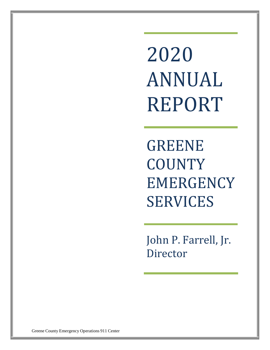2020 ANNUAL REPORT

GREENE **COUNTY** EMERGENCY SERVICES

John P. Farrell, Jr. Director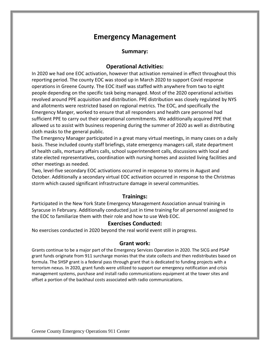### **Emergency Management**

#### **Summary:**

### **Operational Activities:**

In 2020 we had one EOC activation, however that activation remained in effect throughout this reporting period. The county EOC was stood up in March 2020 to support Covid response operations in Greene County. The EOC itself was staffed with anywhere from two to eight people depending on the specific task being managed. Most of the 2020 operational activities revolved around PPE acquisition and distribution. PPE distribution was closely regulated by NYS and allotments were restricted based on regional metrics. The EOC, and specifically the Emergency Manger, worked to ensure that all responders and health care personnel had sufficient PPE to carry out their operational commitments. We additionally acquired PPE that allowed us to assist with business reopening during the summer of 2020 as well as distributing cloth masks to the general public.

The Emergency Manager participated in a great many virtual meetings, in many cases on a daily basis. These included county staff briefings, state emergency managers call, state department of health calls, mortuary affairs calls, school superintendent calls, discussions with local and state elected representatives, coordination with nursing homes and assisted living facilities and other meetings as needed.

Two, level-five secondary EOC activations occurred in response to storms in August and October. Additionally a secondary virtual EOC activation occurred in response to the Christmas storm which caused significant infrastructure damage in several communities.

### **Trainings:**

Participated in the New York State Emergency Management Association annual training in Syracuse in February. Additionally conducted just in time training for all personnel assigned to the EOC to familiarize them with their role and how to use Web EOC.

#### **Exercises Conducted:**

No exercises conducted in 2020 beyond the real world event still in progress.

#### **Grant work:**

Grants continue to be a major part of the Emergency Services Operation in 2020. The SICG and PSAP grant funds originate from 911 surcharge monies that the state collects and then redistributes based on formula. The SHSP grant is a federal pass through grant that is dedicated to funding projects with a terrorism nexus. In 2020, grant funds were utilized to support our emergency notification and crisis management systems, purchase and install radio communications equipment at the tower sites and offset a portion of the backhaul costs associated with radio communications.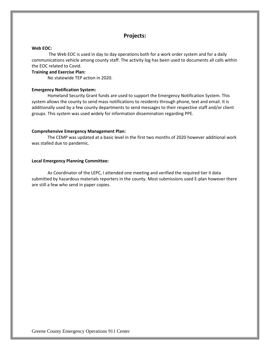### **Projects:**

#### **Web EOC:**

The Web EOC is used in day to day operations both for a work order system and for a daily communications vehicle among county staff. The activity log has been used to documents all calls within the EOC related to Covid.

#### **Training and Exercise Plan:**

No statewide TEP action in 2020.

#### **Emergency Notification System:**

Homeland Security Grant funds are used to support the Emergency Notification System. This system allows the county to send mass notifications to residents through phone, text and email. It is additionally used by a few county departments to send messages to their respective staff and/or client groups. This system was used widely for information dissemination regarding PPE.

#### **Comprehensive Emergency Management Plan:**

The CEMP was updated at a basic level in the first two months of 2020 however additional work was stalled due to pandemic.

#### **Local Emergency Planning Committee:**

As Coordinator of the LEPC, I attended one meeting and verified the required tier II data submitted by hazardous materials reporters in the county. Most submissions used E-plan however there are still a few who send in paper copies.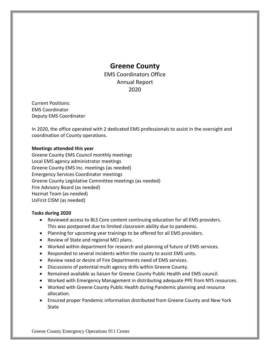### **Greene County**

EMS Coordinators Office Annual Report 2020

Current Positions: EMS Coordinator Deputy EMS Coordinator

In 2020, the office operated with 2 dedicated EMS professionals to assist in the oversight and coordination of County operations.

### **Meetings attended this year**

Greene County EMS Council monthly meetings Local EMS agency administrator meetings Greene County EMS Inc. meetings (as needed) Emergency Services Coordinator meetings Greene County Legislative Committee meetings (as needed) Fire Advisory Board (as needed) Hazmat Team (as needed) UsFirst CISM (as needed)

#### **Tasks during 2020**

- Reviewed access to BLS Core content continuing education for all EMS providers. This was postponed due to limited classroom ability due to pandemic.
- Planning for upcoming year trainings to be offered for all EMS providers.
- Review of State and regional MCI plans.
- Worked within department for research and planning of future of EMS services.
- Responded to several incidents within the county to assist EMS units.
- Review need or desire of Fire Departments need of EMS services.
- Discussions of potential multi agency drills within Greene County.
- Remained available as liaison for Greene County Public Health and EMS council.
- Worked with Emergency Management in distributing adequate PPE from NYS resources.
- Worked with Greene County Public Health during Pandemic planning and resource allocation.
- Ensured proper Pandemic information distributed from Greene County and New York **State**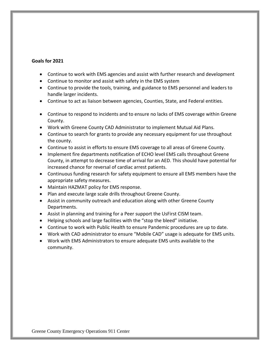#### **Goals for 2021**

- Continue to work with EMS agencies and assist with further research and development
- Continue to monitor and assist with safety in the EMS system
- Continue to provide the tools, training, and guidance to EMS personnel and leaders to handle larger incidents.
- Continue to act as liaison between agencies, Counties, State, and Federal entities.
- Continue to respond to incidents and to ensure no lacks of EMS coverage within Greene County.
- Work with Greene County CAD Administrator to implement Mutual Aid Plans.
- Continue to search for grants to provide any necessary equipment for use throughout the county.
- Continue to assist in efforts to ensure EMS coverage to all areas of Greene County.
- Implement fire departments notification of ECHO level EMS calls throughout Greene County, in attempt to decrease time of arrival for an AED. This should have potential for increased chance for reversal of cardiac arrest patients.
- Continuous funding research for safety equipment to ensure all EMS members have the appropriate safety measures.
- Maintain HAZMAT policy for EMS response.
- Plan and execute large scale drills throughout Greene County.
- Assist in community outreach and education along with other Greene County Departments.
- Assist in planning and training for a Peer support the UsFirst CISM team.
- Helping schools and large facilities with the "stop the bleed" initiative.
- Continue to work with Public Health to ensure Pandemic procedures are up to date.
- Work with CAD administrator to ensure "Mobile CAD" usage is adequate for EMS units.
- Work with EMS Administrators to ensure adequate EMS units available to the community.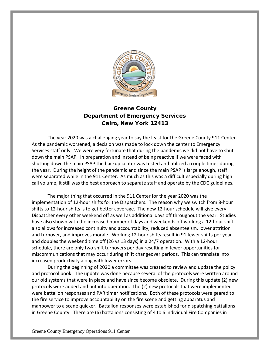

### Greene County Department of Emergency Services Cairo, New York 12413

The year 2020 was a challenging year to say the least for the Greene County 911 Center. As the pandemic worsened, a decision was made to lock down the center to Emergency Services staff only. We were very fortunate that during the pandemic we did not have to shut down the main PSAP. In preparation and instead of being reactive if we were faced with shutting down the main PSAP the backup center was tested and utilized a couple times during the year. During the height of the pandemic and since the main PSAP is large enough, staff were separated while in the 911 Center. As much as this was a difficult especially during high call volume, it still was the best approach to separate staff and operate by the CDC guidelines.

The major thing that occurred in the 911 Center for the year 2020 was the implementation of 12-hour shifts for the Dispatchers. The reason why we switch from 8-hour shifts to 12-hour shifts is to get better coverage. The new 12-hour schedule will give every Dispatcher every other weekend off as well as additional days off throughout the year. Studies have also shown with the increased number of days and weekends off working a 12-hour shift also allows for increased continuity and accountability, reduced absenteeism, lower attrition and turnover, and improves morale. Working 12-hour shifts result in 91 fewer shifts per year and doubles the weekend time off (26 vs 13 days) in a 24/7 operation. With a 12-hour schedule, there are only two shift turnovers per day resulting in fewer opportunities for miscommunications that may occur during shift changeover periods. This can translate into increased productivity along with lower errors.

During the beginning of 2020 a committee was created to review and update the policy and protocol book. The update was done because several of the protocols were written around our old systems that were in place and have since become obsolete. During this update (2) new protocols were added and put into operation. The (2) new protocols that were implemented were battalion responses and PAR timer notifications. Both of these protocols were geared to the fire service to improve accountability on the fire scene and getting apparatus and manpower to a scene quicker. Battalion responses were established for dispatching battalions in Greene County. There are (6) battalions consisting of 4 to 6 individual Fire Companies in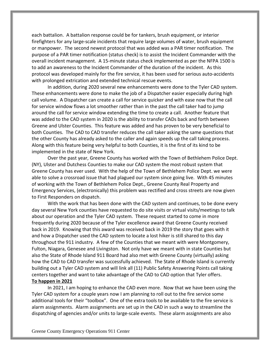each battalion. A battalion response could be for tankers, brush equipment, or interior firefighters for any large-scale incidents that require large volumes of water, brush equipment or manpower. The second newest protocol that was added was a PAR timer notification. The purpose of a PAR timer notification (status check) is to assist the Incident Commander with the overall incident management. A 15-minute status check implemented as per the NFPA 1500 is to add an awareness to the Incident Commander of the duration of the incident. As this protocol was developed mainly for the fire service, it has been used for serious auto-accidents with prolonged extrication and extended technical rescue events.

In addition, during 2020 several new enhancements were done to the Tyler CAD system. These enhancements were done to make the job of a Dispatcher easier especially during high call volume. A Dispatcher can create a call for service quicker and with ease now that the call for service window flows a lot smoother rather than in the past the call taker had to jump around the call for service window extending the time to create a call. Another feature that was added to the CAD system in 2020 is the ability to transfer CADs back and forth between Greene and Ulster Counties. This feature was added and has proven to be very beneficial to both Counties. The CAD to CAD transfer reduces the call taker asking the same questions that the other County has already asked to the caller and again speeds up the call taking process. Along with this feature being very helpful to both Counties, it is the first of its kind to be implemented in the state of New York.

Over the past year, Greene County has worked with the Town of Bethlehem Police Dept. (NY), Ulster and Dutchess Counties to make our CAD system the most robust system that Greene County has ever used. With the help of the Town of Bethlehem Police Dept. we were able to solve a crossroad issue that had plagued our system since going live. With 45 minutes of working with the Town of Bethlehem Police Dept., Greene County Real Property and Emergency Services, (electronically) this problem was rectified and cross streets are now given to First Responders on dispatch.

With the work that has been done with the CAD system and continues, to be done every day several New York counties have requested to do site visits or virtual visits/meetings to talk about our operation and the Tyler CAD system. These request started to come in more frequently during 2020 because of the Tyler excellence award that Greene County received back in 2019. Knowing that this award was received back in 2019 the story that goes with it and how a Dispatcher used the CAD system to locate a lost hiker is still shared to this day throughout the 911 industry. A few of the Counties that we meant with were Montgomery, Fulton, Niagara, Genesee and Livingston. Not only have we meant with in state Counties but also the State of Rhode Island 911 Board had also met with Greene County (virtually) asking how the CAD to CAD transfer was successfully achieved. The State of Rhode Island is currently building out a Tyler CAD system and will link all (11) Public Safety Answering Points call taking centers together and want to take advantage of the CAD to CAD option that Tyler offers. **To happen in 2021**

In 2021, I am hoping to enhance the CAD even more. Now that we have been using the Tyler CAD system for a couple years now I am planning to roll out to the fire service some additional tools for their "toolbox". One of the extra tools to be available to the fire service is alarm assignments. Alarm assignments are set up in the CAD in such a way to streamline the dispatching of agencies and/or units to large-scale events. These alarm assignments are also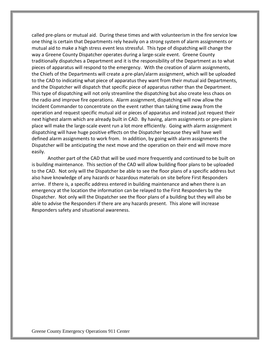called pre-plans or mutual aid. During these times and with volunteerism in the fire service low one thing is certain that Departments rely heavily on a strong system of alarm assignments or mutual aid to make a high stress event less stressful. This type of dispatching will change the way a Greene County Dispatcher operates during a large-scale event. Greene County traditionally dispatches a Department and it is the responsibility of the Department as to what pieces of apparatus will respond to the emergency. With the creation of alarm assignments, the Chiefs of the Departments will create a pre-plan/alarm assignment, which will be uploaded to the CAD to indicating what piece of apparatus they want from their mutual aid Departments, and the Dispatcher will dispatch that specific piece of apparatus rather than the Department. This type of dispatching will not only streamline the dispatching but also create less chaos on the radio and improve fire operations. Alarm assignment, dispatching will now allow the Incident Commander to concentrate on the event rather than taking time away from the operation and request specific mutual aid or pieces of apparatus and instead just request their next highest alarm which are already built in CAD. By having, alarm assignments or pre-plans in place will make the large-scale event run a lot more efficiently. Going with alarm assignment dispatching will have huge positive effects on the Dispatcher because they will have well defined alarm assignments to work from. In addition, by going with alarm assignments the Dispatcher will be anticipating the next move and the operation on their end will move more easily.

Another part of the CAD that will be used more frequently and continued to be built on is building maintenance. This section of the CAD will allow building floor plans to be uploaded to the CAD. Not only will the Dispatcher be able to see the floor plans of a specific address but also have knowledge of any hazards or hazardous materials on site before First Responders arrive. If there is, a specific address entered in building maintenance and when there is an emergency at the location the information can be relayed to the First Responders by the Dispatcher. Not only will the Dispatcher see the floor plans of a building but they will also be able to advise the Responders if there are any hazards present. This alone will increase Responders safety and situational awareness.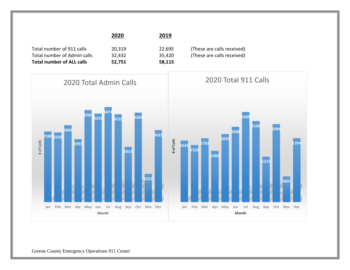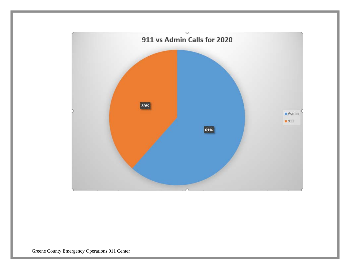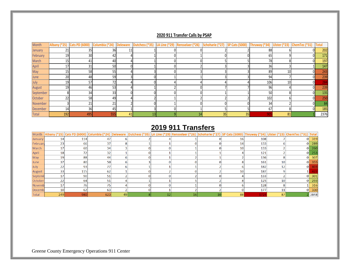### **2020 911 Transfer Calls by PSAP**

| Month     |                 | Albany (*25) Cats PD (6000) | Columbia (*24) $\vert$ Deleware |    | Dutchess (*35) | LA Line (*29) Rensselaer (*26) Schoharie (*27) SP Cats (5000) Thruway (*34) Ulster (*23) ChemTec (*31) |    |    |     |    |    | Total |
|-----------|-----------------|-----------------------------|---------------------------------|----|----------------|--------------------------------------------------------------------------------------------------------|----|----|-----|----|----|-------|
| January   | 21              | 35                          | 36                              | 11 |                |                                                                                                        |    |    | 88  |    |    | 202   |
| February  | 19              | 30                          | 42                              |    |                |                                                                                                        |    |    | 65  |    | ΩI | 171   |
| March     | 15 <sub>l</sub> | 41                          | 40                              |    |                |                                                                                                        |    |    | 78  |    |    | 197   |
| April     | 17              | 31                          | 50                              |    |                |                                                                                                        |    |    | 36  |    |    | 147   |
| May       | 15 <sup>1</sup> | 58                          | 55                              |    |                |                                                                                                        |    |    | 89  | 10 |    | 243   |
| June      | 20              | 48                          | 59                              |    |                |                                                                                                        |    |    | 94  |    |    | 239   |
| July      | 19              | 57                          | 72                              |    |                |                                                                                                        |    |    | 106 | 10 |    |       |
| August    | 19              | 46                          | 53                              |    |                |                                                                                                        |    |    | 96  |    |    | 239   |
| September |                 | 34                          | 33                              |    |                |                                                                                                        |    |    | 50  |    |    | 135   |
| October   | 22              | 58                          | 49                              |    |                |                                                                                                        |    |    | 102 |    |    | 250   |
| November  |                 | $2^{\circ}$                 | 21                              |    |                |                                                                                                        |    |    | 34  |    |    |       |
| December  | 14              | 36                          | 45                              |    |                |                                                                                                        |    |    | 67  |    |    | 185   |
| Total     | 192             | 495                         | 555                             | 41 | 13             |                                                                                                        | 35 | 35 | 905 | 81 |    | 2376  |

### **2019 911 Transfers**

|               |                 |                 |     |    |  | Month Albany (*25) Cats PD (6000) Columbia (*24) Deleware Dutchess (*35) LA Line (*29) Rensselaer (*26) Schoharie (*27) SP Cats (5000) Thruway (*34) Ulster (*23) ChemTec (*31) Total |    |      |                 |    |      |
|---------------|-----------------|-----------------|-----|----|--|---------------------------------------------------------------------------------------------------------------------------------------------------------------------------------------|----|------|-----------------|----|------|
| January       | 4               | 114             | 47  |    |  |                                                                                                                                                                                       |    | 108  |                 |    | 319  |
| February      | 23              | <b>66</b>       | 37  |    |  |                                                                                                                                                                                       | 14 | 133  |                 |    | 289  |
| March         |                 | <b>60</b>       | 34  |    |  |                                                                                                                                                                                       | 10 | 133  |                 | 01 | 260  |
| April         | 18              | 72              | 32  |    |  |                                                                                                                                                                                       |    | 121  |                 |    | 253  |
| May           | 19              | 88              | 44  |    |  |                                                                                                                                                                                       |    | 136  |                 | οı | 307  |
| June          | 37              | <b>80</b>       | 50  |    |  |                                                                                                                                                                                       |    | 161  | 10 <sup>1</sup> | οI | 355  |
| July          | 22              | 93              | 77  |    |  |                                                                                                                                                                                       |    | 182  | 12              | οI |      |
| August        | 33              | 115             | 62  |    |  |                                                                                                                                                                                       | 10 | 187  |                 |    |      |
| Septemb       |                 | 90 <sub>1</sub> | 51  |    |  |                                                                                                                                                                                       |    | 133  |                 | O. | 301  |
| October       | 22              | 64              | 511 |    |  |                                                                                                                                                                                       |    | 125  | 10 <sup>1</sup> |    | 293  |
| Novemb        |                 | 76              | 75  |    |  |                                                                                                                                                                                       |    | 128  |                 |    | 316  |
| <b>Decemb</b> | 10 <sub>1</sub> | 62              | 63  |    |  |                                                                                                                                                                                       |    | 177  | 11              | οı | 330  |
| Total         | 249             | 980             | 623 | 49 |  | 16                                                                                                                                                                                    | 88 | 172. | 87              |    | 3848 |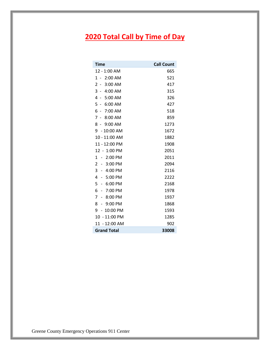# **2020 Total Call by Time of Day**

| <b>Time</b>                              | <b>Call Count</b> |
|------------------------------------------|-------------------|
| 12 - 1:00 AM                             | 665               |
| 2:00 AM<br>$1 -$                         | 521               |
| 2<br>$-3:00$ AM                          | 417               |
| 3<br>$-4:00$ AM                          | 315               |
| 4<br>$-5:00$ AM                          | 326               |
| 5<br>6:00 AM<br>$\overline{\phantom{a}}$ | 427               |
| 6<br>$-7:00$ AM                          | 518               |
| 7<br>$-8:00$ AM                          | 859               |
| 8 - 9:00 AM                              | 1273              |
| 9 - 10:00 AM                             | 1672              |
| 10 - 11:00 AM                            | 1882              |
| 11 - 12:00 PM                            | 1908              |
| 12 - 1:00 PM                             | 2051              |
| 2:00 PM<br>1<br>$\sim$                   | 2011              |
| $\overline{2}$<br>3:00 PM<br>$\sim$      | 2094              |
| 3<br>$-4:00$ PM                          | 2116              |
| 4<br>5:00 PM<br>$\sim$                   | 2222              |
| 5<br>6:00 PM<br>$\overline{\phantom{a}}$ | 2168              |
| 6<br>7:00 PM<br>$\overline{\phantom{a}}$ | 1978              |
| 7<br>8:00 PM<br>$-$                      | 1937              |
| 8<br>9:00 PM<br>$\overline{a}$           | 1868              |
| $-10:00$ PM<br>9                         | 1593              |
| 10 - 11:00 PM                            | 1285              |
| 11 - 12:00 AM                            | 902               |
| <b>Grand Total</b>                       | 33008             |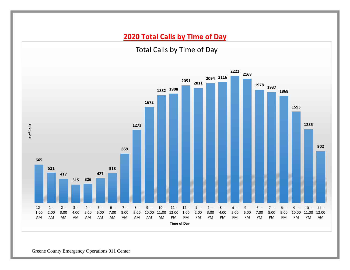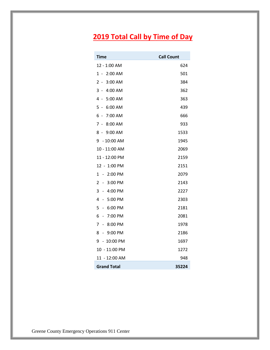# **2019 Total Call by Time of Day**

| Time                                     | <b>Call Count</b> |
|------------------------------------------|-------------------|
| 12 - 1:00 AM                             | 624               |
| 1 - 2:00 AM                              | 501               |
| 2 - 3:00 AM                              | 384               |
| 3 -<br>4:00 AM                           | 362               |
| 4 - 5:00 AM                              | 363               |
| $5 -$<br>6:00 AM                         | 439               |
| 6 -<br>7:00 AM                           | 666               |
| 7 - 8:00 AM                              | 933               |
| 8 - 9:00 AM                              | 1533              |
| 9 - 10:00 AM                             | 1945              |
| 10 - 11:00 AM                            | 2069              |
| 11 - 12:00 PM                            | 2159              |
| 12 - 1:00 PM                             | 2151              |
| 2:00 PM<br>1<br>$\sim$                   | 2079              |
| 2<br>3:00 PM<br>$\sim$                   | 2143              |
| 3 - 4:00 PM                              | 2227              |
| $-5:00$ PM<br>4                          | 2303              |
| 5<br>6:00 PM<br>$\overline{\phantom{a}}$ | 2181              |
| 7:00 PM<br>6<br>$\sim$                   | 2081              |
| 7<br>8:00 PM<br>$\sim$                   | 1978              |
| $-9:00$ PM<br>8                          | 2186              |
| $-10:00$ PM<br>9                         | 1697              |
| 10 - 11:00 PM                            | 1272              |
| 11 - 12:00 AM                            | 948               |
| <b>Grand Total</b>                       | 35224             |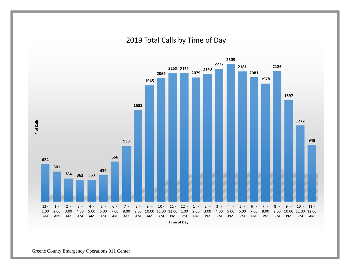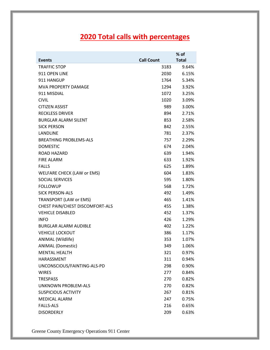## **2020 Total calls with percentages**

|                                 |                   | $%$ of       |
|---------------------------------|-------------------|--------------|
| <b>Events</b>                   | <b>Call Count</b> | <b>Total</b> |
| <b>TRAFFIC STOP</b>             | 3183              | 9.64%        |
| 911 OPEN LINE                   | 2030              | 6.15%        |
| 911 HANGUP                      | 1764              | 5.34%        |
| <b>MVA PROPERTY DAMAGE</b>      | 1294              | 3.92%        |
| 911 MISDIAL                     | 1072              | 3.25%        |
| <b>CIVIL</b>                    | 1020              | 3.09%        |
| <b>CITIZEN ASSIST</b>           | 989.              | 3.00%        |
| <b>RECKLESS DRIVER</b>          | 894               | 2.71%        |
| <b>BURGLAR ALARM SILENT</b>     | 853               | 2.58%        |
| <b>SICK PERSON</b>              | 842               | 2.55%        |
| LANDLINE                        | 781               | 2.37%        |
| <b>BREATHING PROBLEMS-ALS</b>   | 757               | 2.29%        |
| <b>DOMESTIC</b>                 | 674               | 2.04%        |
| ROAD HAZARD                     | 639               | 1.94%        |
| <b>FIRE ALARM</b>               | 633               | 1.92%        |
| <b>FALLS</b>                    | 625               | 1.89%        |
| WELFARE CHECK (LAW or EMS)      | 604               | 1.83%        |
| <b>SOCIAL SERVICES</b>          | 595               | 1.80%        |
| <b>FOLLOWUP</b>                 | 568               | 1.72%        |
| <b>SICK PERSON-ALS</b>          | 492               | 1.49%        |
| TRANSPORT (LAW or EMS)          | 465               | 1.41%        |
| CHEST PAIN/CHEST DISCOMFORT-ALS | 455               | 1.38%        |
| <b>VEHICLE DISABLED</b>         | 452               | 1.37%        |
| <b>INFO</b>                     | 426               | 1.29%        |
| <b>BURGLAR ALARM AUDIBLE</b>    | 402               | 1.22%        |
| <b>VEHICLE LOCKOUT</b>          | 386               | 1.17%        |
| ANIMAL (Wildlife)               | 353               | 1.07%        |
| <b>ANIMAL (Domestic)</b>        | 349               | 1.06%        |
| <b>MENTAL HEALTH</b>            | 321               | 0.97%        |
| <b>HARASSMENT</b>               | 311               | 0.94%        |
| UNCONSCIOUS/FAINTING-ALS-PD     | 298               | 0.90%        |
| <b>WIRES</b>                    | 277               | 0.84%        |
| <b>TRESPASS</b>                 | 270               | 0.82%        |
| UNKNOWN PROBLEM-ALS             | 270               | 0.82%        |
| <b>SUSPICIOUS ACTIVITY</b>      | 267               | 0.81%        |
| <b>MEDICAL ALARM</b>            | 247               | 0.75%        |
| <b>FALLS-ALS</b>                | 216               | 0.65%        |
| <b>DISORDERLY</b>               | 209               | 0.63%        |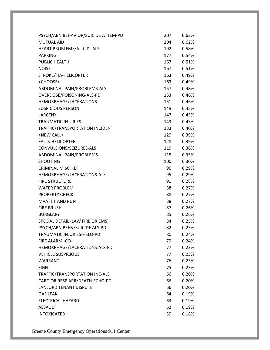| PSYCH/ABN BEHAVIOR/SUICIDE ATTEM-PD | 207 | 0.63% |
|-------------------------------------|-----|-------|
| <b>MUTUAL AID</b>                   | 204 | 0.62% |
| HEART PROBLEMS/A.I.C.D.-ALS         | 192 | 0.58% |
| <b>PARKING</b>                      | 177 | 0.54% |
| PUBLIC HEALTH                       | 167 | 0.51% |
| <b>NOISE</b>                        | 167 | 0.51% |
| STROKE/TIA-HELICOPTER               | 163 | 0.49% |
| >CHOOSE<                            | 163 | 0.49% |
| ABDOMINAL PAIN/PROBLEMS-ALS         | 157 | 0.48% |
| OVERDOSE/POISONING-ALS-PD           | 153 | 0.46% |
| HEMORRHAGE/LACERATIONS              | 151 | 0.46% |
| <b>SUSPICIOUS PERSON</b>            | 149 | 0.45% |
| <b>LARCENY</b>                      | 147 | 0.45% |
| <b>TRAUMATIC INJURIES</b>           | 143 | 0.43% |
| TRAFFIC/TRANSPORTATION INCIDENT     | 133 | 0.40% |
| >NEW CALL<                          | 129 | 0.39% |
| <b>FALLS-HELICOPTER</b>             | 128 | 0.39% |
| CONVULSIONS/SEIZURES-ALS            | 119 | 0.36% |
| ABDOMINAL PAIN/PROBLEMS             | 115 | 0.35% |
| <b>SHOOTING</b>                     | 100 | 0.30% |
| <b>CRIMINAL MISCHIEF</b>            | 96  | 0.29% |
| HEMORRHAGE/LACERATIONS-ALS          | 95  | 0.29% |
| <b>FIRE STRUCTURE</b>               | 91  | 0.28% |
| <b>WATER PROBLEM</b>                | 88  | 0.27% |
| <b>PROPERTY CHECK</b>               | 88  | 0.27% |
| MVA HIT AND RUN                     | 88  | 0.27% |
| <b>FIRE BRUSH</b>                   | 87  | 0.26% |
| <b>BURGLARY</b>                     | 85  | 0.26% |
| SPECIAL DETAIL (LAW FIRE OR EMS)    | 84  | 0.25% |
| PSYCH/ABN BEHV/SUICIDE ALS-PD       | 82  | 0.25% |
| TRAUMATIC INJURIES-HELO-PD          | 80  | 0.24% |
| FIRE ALARM -CO-                     | 79  | 0.24% |
| HEMORRHAGE/LACERATIONS-ALS-PD       | 77  | 0.23% |
| <b>VEHICLE SUSPICIOUS</b>           | 77  | 0.23% |
| WARRANT                             | 76  | 0.23% |
| <b>FIGHT</b>                        | 75  | 0.23% |
| TRAFFIC/TRANSPORTATION INC-ALS      | 66  | 0.20% |
| CARD OR RESP ARR/DEATH-ECHO-PD      | 66  | 0.20% |
| <b>LANLORD TENANT DISPUTE</b>       | 66  | 0.20% |
| <b>GAS LEAK</b>                     | 64  | 0.19% |
| ELECTRICAL HAZARD                   | 63  | 0.19% |
| ASSAULT                             | 62  | 0.19% |
| <b>INTOXICATED</b>                  | 59  | 0.18% |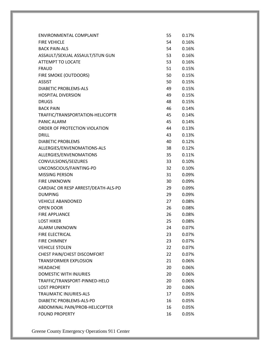| ENVIRONMENTAL COMPLAINT             | 55 | 0.17% |
|-------------------------------------|----|-------|
| <b>FIRE VEHICLE</b>                 | 54 | 0.16% |
| <b>BACK PAIN-ALS</b>                | 54 | 0.16% |
| ASSAULT/SEXUAL ASSAULT/STUN GUN     | 53 | 0.16% |
| ATTEMPT TO LOCATE                   | 53 | 0.16% |
| <b>FRAUD</b>                        | 51 | 0.15% |
| FIRE SMOKE (OUTDOORS)               | 50 | 0.15% |
| <b>ASSIST</b>                       | 50 | 0.15% |
| <b>DIABETIC PROBLEMS-ALS</b>        | 49 | 0.15% |
| <b>HOSPITAL DIVERSION</b>           | 49 | 0.15% |
| <b>DRUGS</b>                        | 48 | 0.15% |
| <b>BACK PAIN</b>                    | 46 | 0.14% |
| TRAFFIC/TRANSPORTATION-HELICOPTR    | 45 | 0.14% |
| <b>PANIC ALARM</b>                  | 45 | 0.14% |
| ORDER OF PROTECTION VIOLATION       | 44 | 0.13% |
| <b>DRILL</b>                        | 43 | 0.13% |
| <b>DIABETIC PROBLEMS</b>            | 40 | 0.12% |
| ALLERGIES/ENVENOMATIONS-ALS         | 38 | 0.12% |
| ALLERGIES/ENVENOMATIONS             | 35 | 0.11% |
| CONVULSIONS/SEIZURES                | 33 | 0.10% |
| UNCONSCIOUS/FAINTING-PD             | 32 | 0.10% |
| <b>MISSING PERSON</b>               | 31 | 0.09% |
| <b>FIRE UNKNOWN</b>                 | 30 | 0.09% |
| CARDIAC OR RESP ARREST/DEATH-ALS-PD | 29 | 0.09% |
| <b>DUMPING</b>                      | 29 | 0.09% |
| <b>VEHICLE ABANDONED</b>            | 27 | 0.08% |
| <b>OPEN DOOR</b>                    | 26 | 0.08% |
| <b>FIRE APPLIANCE</b>               | 26 | 0.08% |
| <b>LOST HIKER</b>                   | 25 | 0.08% |
| <b>ALARM UNKNOWN</b>                | 24 | 0.07% |
| FIRE ELECTRICAL                     | 23 | 0.07% |
| <b>FIRE CHIMNEY</b>                 | 23 | 0.07% |
| <b>VEHICLE STOLEN</b>               | 22 | 0.07% |
| CHEST PAIN/CHEST DISCOMFORT         | 22 | 0.07% |
| <b>TRANSFORMER EXPLOSION</b>        | 21 | 0.06% |
| <b>HEADACHE</b>                     | 20 | 0.06% |
| DOMESTIC WITH INJURIES              | 20 | 0.06% |
| TRAFFIC/TRANSPORT-PINNED-HELO       | 20 | 0.06% |
| <b>LOST PROPERTY</b>                | 20 | 0.06% |
| <b>TRAUMATIC INJURIES-ALS</b>       | 17 | 0.05% |
| DIABETIC PROBLEMS-ALS-PD            | 16 | 0.05% |
| ABDOMINAL PAIN/PROB-HELICOPTER      | 16 | 0.05% |
| <b>FOUND PROPERTY</b>               | 16 | 0.05% |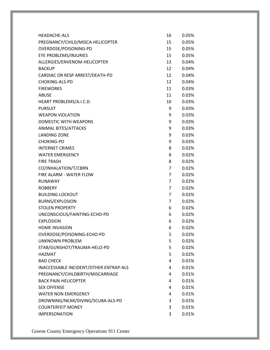| <b>HEADACHE-ALS</b>                    | 16              | 0.05%    |
|----------------------------------------|-----------------|----------|
| PREGNANCY/CHILD/MISCA-HELICOPTER       | 15              | 0.05%    |
| OVERDOSE/POISONING-PD                  | 15              | 0.05%    |
| EYE PROBLEMS/INJURIES                  | 15              | 0.05%    |
| ALLERGIES/ENVENOM-HELICOPTER           | 13              | 0.04%    |
| <b>BACKUP</b>                          | 12              | 0.04%    |
| CARDIAC OR RESP ARREST/DEATH-PD        | 12              | 0.04%    |
| CHOKING-ALS-PD                         | 12 <sup>2</sup> | 0.04%    |
| <b>FIREWORKS</b>                       | 11              | 0.03%    |
| <b>ABUSE</b>                           | 11              | 0.03%    |
| HEART PROBLEMS/A.I.C.D.                | 10              | 0.03%    |
| <b>PURSUIT</b>                         | 9               | 0.03%    |
| <b>WEAPON VIOLATION</b>                | 9               | 0.03%    |
| DOMESTIC WITH WEAPONS                  | 9               | 0.03%    |
| <b>ANIMAL BITES/ATTACKS</b>            | 9               | 0.03%    |
| <b>LANDING ZONE</b>                    | 9               | 0.03%    |
| <b>CHOKING-PD</b>                      | 9               | 0.03%    |
| <b>INTERNET CRIMES</b>                 | 8               | 0.02%    |
| <b>WATER EMERGENCY</b>                 | 8               | 0.02%    |
| <b>FIRE TRASH</b>                      | 8               | 0.02%    |
| CO/INHALATION/T/CBRN                   | 7               | 0.02%    |
| FIRE ALARM - WATER FLOW                | 7               | 0.02%    |
| <b>RUNAWAY</b>                         | 7               | 0.02%    |
| <b>ROBBERY</b>                         | 7               | 0.02%    |
| <b>BUILDING LOCKOUT</b>                | 7               | 0.02%    |
| <b>BURNS/EXPLOSION</b>                 | 7               | 0.02%    |
| <b>STOLEN PROPERTY</b>                 | 6               | 0.02%    |
| UNCONSCIOUS/FAINTING-ECHO-PD           | 6               | 0.02%    |
| <b>EXPLOSION</b>                       | 6               | $0.02\%$ |
| <b>HOME INVASION</b>                   | 6               | 0.02%    |
| OVERDOSE/POISONING-ECHO-PD             | 5               | 0.02%    |
| <b>UNKNOWN PROBLEM</b>                 | 5               | 0.02%    |
| STAB/GUNSHOT/TRAUMA-HELO-PD            | 5               | 0.02%    |
| <b>HAZMAT</b>                          | 5               | 0.02%    |
| <b>BAD CHECK</b>                       | 4               | 0.01%    |
| INACCESSABLE INCIDENT/OTHER ENTRAP-ALS | 4               | 0.01%    |
| PREGNANCY/CHILDBIRTH/MISCARRIAGE       | 4               | 0.01%    |
| <b>BACK PAIN-HELICOPTER</b>            | 4               | 0.01%    |
| <b>SEX OFFENSE</b>                     | 4               | 0.01%    |
| <b>WATER NON EMERGENCY</b>             | 4               | 0.01%    |
| DROWNING/NEAR/DIVING/SCUBA-ALS-PD      | 3               | 0.01%    |
| <b>COUNTERFEIT MONEY</b>               | 3               | 0.01%    |
| <b>IMPERSONATION</b>                   | 3               | 0.01%    |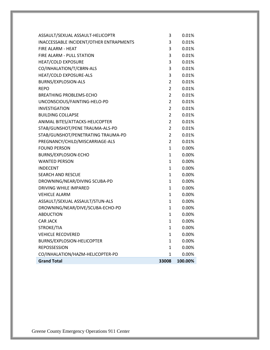| <b>Grand Total</b>                      | 33008          | 100.00%  |
|-----------------------------------------|----------------|----------|
| CO/INHALATION/HAZM-HELICOPTER-PD        | 1              | 0.00%    |
| <b>REPOSSESSION</b>                     | $\mathbf{1}$   | 0.00%    |
| BURNS/EXPLOSION-HELICOPTER              | 1              | 0.00%    |
| <b>VEHICLE RECOVERED</b>                | 1              | 0.00%    |
| STROKE/TIA                              | $\mathbf{1}$   | 0.00%    |
| <b>CAR JACK</b>                         | $\mathbf{1}$   | $0.00\%$ |
| <b>ABDUCTION</b>                        | $\mathbf{1}$   | $0.00\%$ |
| DROWNING/NEAR/DIVE/SCUBA-ECHO-PD        | $\mathbf{1}$   | $0.00\%$ |
| ASSAULT/SEXUAL ASSAULT/STUN-ALS         | 1              | 0.00%    |
| <b>VEHICLE ALARM</b>                    | $\mathbf{1}$   | $0.00\%$ |
| <b>DRIVING WHILE IMPARED</b>            | $\mathbf{1}$   | 0.00%    |
| DROWNING/NEAR/DIVING SCUBA-PD           | $\mathbf{1}$   | 0.00%    |
| <b>SEARCH AND RESCUE</b>                | $\mathbf{1}$   | 0.00%    |
| <b>INDECENT</b>                         | $\mathbf{1}$   | $0.00\%$ |
| <b>WANTED PERSON</b>                    | $\mathbf{1}$   | $0.00\%$ |
| BURNS/EXPLOSION-ECHO                    | $\mathbf{1}$   | 0.00%    |
| <b>FOUND PERSON</b>                     | $\mathbf{1}$   | 0.00%    |
| PREGNANCY/CHILD/MISCARRIAGE-ALS         | $\overline{2}$ | 0.01%    |
| STAB/GUNSHOT/PENETRATING TRAUMA-PD      | $\overline{2}$ | 0.01%    |
| STAB/GUNSHOT/PENE TRAUMA-ALS-PD         | $\overline{2}$ | 0.01%    |
| ANIMAL BITES/ATTACKS-HELICOPTER         | 2              | 0.01%    |
| <b>BUILDING COLLAPSE</b>                | $\overline{2}$ | 0.01%    |
| <b>INVESTIGATION</b>                    | $\overline{2}$ | 0.01%    |
| UNCONSCIOUS/FAINTING-HELO-PD            | $\overline{2}$ | 0.01%    |
| <b>BREATHING PROBLEMS-ECHO</b>          | 2              | 0.01%    |
| <b>REPO</b>                             | $\overline{2}$ | 0.01%    |
| BURNS/EXPLOSION-ALS                     | $\overline{2}$ | 0.01%    |
| HEAT/COLD EXPOSURE-ALS                  | 3              | 0.01%    |
| CO/INHALATION/T/CBRN-ALS                | 3              | 0.01%    |
| <b>HEAT/COLD EXPOSURE</b>               | 3              | 0.01%    |
| FIRE ALARM - PULL STATION               | 3              | 0.01%    |
| FIRE ALARM - HEAT                       | 3              | 0.01%    |
| INACCESSABLE INCIDENT/OTHER ENTRAPMENTS | 3              | 0.01%    |
| ASSAULT/SEXUAL ASSAULT-HELICOPTR        | 3              | 0.01%    |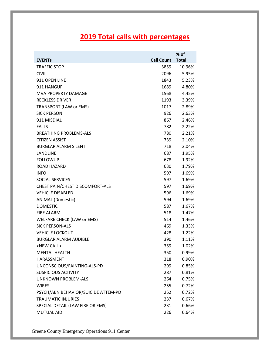## **2019 Total calls with percentages**

| <b>Total</b><br><b>EVENTS</b><br><b>Call Count</b><br><b>TRAFFIC STOP</b><br>10.96%<br>3859<br><b>CIVIL</b><br>2096<br>5.95%<br>911 OPEN LINE<br>5.23%<br>1843<br>911 HANGUP<br>1689<br>4.80% |
|-----------------------------------------------------------------------------------------------------------------------------------------------------------------------------------------------|
|                                                                                                                                                                                               |
|                                                                                                                                                                                               |
|                                                                                                                                                                                               |
|                                                                                                                                                                                               |
|                                                                                                                                                                                               |
| <b>MVA PROPERTY DAMAGE</b><br>1568<br>4.45%                                                                                                                                                   |
| <b>RECKLESS DRIVER</b><br>1193<br>3.39%                                                                                                                                                       |
| <b>TRANSPORT (LAW or EMS)</b><br>1017<br>2.89%                                                                                                                                                |
| <b>SICK PERSON</b><br>926<br>2.63%                                                                                                                                                            |
| 911 MISDIAL<br>2.46%<br>867                                                                                                                                                                   |
| <b>FALLS</b><br>782<br>2.22%                                                                                                                                                                  |
| <b>BREATHING PROBLEMS-ALS</b><br>780<br>2.21%                                                                                                                                                 |
| <b>CITIZEN ASSIST</b><br>739<br>2.10%                                                                                                                                                         |
| <b>BURGLAR ALARM SILENT</b><br>2.04%<br>718                                                                                                                                                   |
| <b>LANDLINE</b><br>1.95%<br>687                                                                                                                                                               |
| <b>FOLLOWUP</b><br>1.92%<br>678                                                                                                                                                               |
| <b>ROAD HAZARD</b><br>1.79%<br>630                                                                                                                                                            |
| 1.69%<br><b>INFO</b><br>597                                                                                                                                                                   |
| <b>SOCIAL SERVICES</b><br>1.69%<br>597                                                                                                                                                        |
| CHEST PAIN/CHEST DISCOMFORT-ALS<br>597<br>1.69%                                                                                                                                               |
| <b>VEHICLE DISABLED</b><br>596<br>1.69%                                                                                                                                                       |
| <b>ANIMAL (Domestic)</b><br>1.69%<br>594                                                                                                                                                      |
| <b>DOMESTIC</b><br>587<br>1.67%                                                                                                                                                               |
| <b>FIRE ALARM</b><br>518<br>1.47%                                                                                                                                                             |
| WELFARE CHECK (LAW or EMS)<br>514<br>1.46%                                                                                                                                                    |
| <b>SICK PERSON-ALS</b><br>1.33%<br>469                                                                                                                                                        |
| <b>VEHICLE LOCKOUT</b><br>1.22%<br>428                                                                                                                                                        |
| <b>BURGLAR ALARM AUDIBLE</b><br>1.11%<br>390                                                                                                                                                  |
| >NEW CALL<<br>359<br>1.02%                                                                                                                                                                    |
| <b>MENTAL HEALTH</b><br>350<br>0.99%                                                                                                                                                          |
| <b>HARASSMENT</b><br>318<br>0.90%                                                                                                                                                             |
| UNCONSCIOUS/FAINTING-ALS-PD<br>299<br>0.85%                                                                                                                                                   |
| <b>SUSPICIOUS ACTIVITY</b><br>0.81%<br>287                                                                                                                                                    |
| <b>UNKNOWN PROBLEM-ALS</b><br>264<br>0.75%                                                                                                                                                    |
| <b>WIRES</b><br>255<br>0.72%                                                                                                                                                                  |
| PSYCH/ABN BEHAVIOR/SUICIDE ATTEM-PD<br>0.72%<br>252                                                                                                                                           |
| <b>TRAUMATIC INJURIES</b><br>0.67%<br>237                                                                                                                                                     |
| SPECIAL DETAIL (LAW FIRE OR EMS)<br>0.66%<br>231                                                                                                                                              |
| MUTUAL AID<br>226<br>0.64%                                                                                                                                                                    |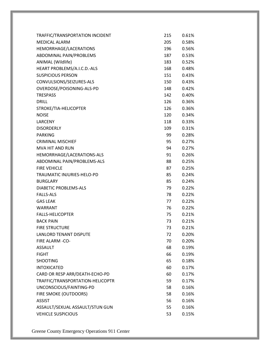| TRAFFIC/TRANSPORTATION INCIDENT  | 215  | 0.61% |
|----------------------------------|------|-------|
| <b>MEDICAL ALARM</b>             | 205  | 0.58% |
| HEMORRHAGE/LACERATIONS           | 196  | 0.56% |
| ABDOMINAL PAIN/PROBLEMS          | 187  | 0.53% |
| ANIMAL (Wildlife)                | 183  | 0.52% |
| HEART PROBLEMS/A.I.C.D.-ALS      | 168  | 0.48% |
| <b>SUSPICIOUS PERSON</b>         | 151  | 0.43% |
| CONVULSIONS/SEIZURES-ALS         | 150  | 0.43% |
| OVERDOSE/POISONING-ALS-PD        | 148  | 0.42% |
| <b>TRESPASS</b>                  | 142  | 0.40% |
| <b>DRILL</b>                     | 126  | 0.36% |
| STROKE/TIA-HELICOPTER            | 126  | 0.36% |
| <b>NOISE</b>                     | 120  | 0.34% |
| LARCENY                          | 118  | 0.33% |
| <b>DISORDERLY</b>                | 109  | 0.31% |
| <b>PARKING</b>                   | 99   | 0.28% |
| <b>CRIMINAL MISCHIEF</b>         | 95   | 0.27% |
| <b>MVA HIT AND RUN</b>           | 94   | 0.27% |
| HEMORRHAGE/LACERATIONS-ALS       | 91   | 0.26% |
| ABDOMINAL PAIN/PROBLEMS-ALS      | 88 — | 0.25% |
| <b>FIRE VEHICLE</b>              | 87   | 0.25% |
| TRAUMATIC INJURIES-HELO-PD       | 85   | 0.24% |
| <b>BURGLARY</b>                  | 85   | 0.24% |
| <b>DIABETIC PROBLEMS-ALS</b>     | 79   | 0.22% |
| <b>FALLS-ALS</b>                 | 78   | 0.22% |
| <b>GAS LEAK</b>                  | 77   | 0.22% |
| <b>WARRANT</b>                   | 76   | 0.22% |
| <b>FALLS-HELICOPTER</b>          | 75   | 0.21% |
| <b>BACK PAIN</b>                 | 73   | 0.21% |
| <b>FIRE STRUCTURE</b>            | 73   | 0.21% |
| <b>LANLORD TENANT DISPUTE</b>    | 72   | 0.20% |
| FIRE ALARM -CO-                  | 70   | 0.20% |
| <b>ASSAULT</b>                   | 68   | 0.19% |
| <b>FIGHT</b>                     | 66   | 0.19% |
| <b>SHOOTING</b>                  | 65   | 0.18% |
| <b>INTOXICATED</b>               | 60   | 0.17% |
| CARD OR RESP ARR/DEATH-ECHO-PD   | 60   | 0.17% |
| TRAFFIC/TRANSPORTATION-HELICOPTR | 59   | 0.17% |
| UNCONSCIOUS/FAINTING-PD          | 58   | 0.16% |
| FIRE SMOKE (OUTDOORS)            | 58   | 0.16% |
| <b>ASSIST</b>                    | 56   | 0.16% |
| ASSAULT/SEXUAL ASSAULT/STUN GUN  | 55   | 0.16% |
| <b>VEHICLE SUSPICIOUS</b>        | 53   | 0.15% |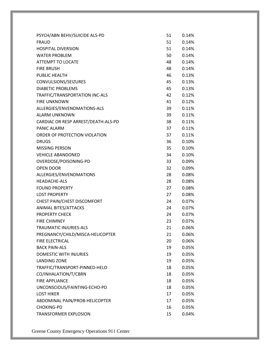| PSYCH/ABN BEHV/SUICIDE ALS-PD       | 51 | 0.14% |
|-------------------------------------|----|-------|
| <b>FRAUD</b>                        | 51 | 0.14% |
| <b>HOSPITAL DIVERSION</b>           | 51 | 0.14% |
| <b>WATER PROBLEM</b>                | 50 | 0.14% |
| <b>ATTEMPT TO LOCATE</b>            | 48 | 0.14% |
| <b>FIRE BRUSH</b>                   | 48 | 0.14% |
| PUBLIC HEALTH                       | 46 | 0.13% |
| CONVULSIONS/SEIZURES                | 45 | 0.13% |
| <b>DIABETIC PROBLEMS</b>            | 45 | 0.13% |
| TRAFFIC/TRANSPORTATION INC-ALS      | 42 | 0.12% |
| <b>FIRE UNKNOWN</b>                 | 41 | 0.12% |
| ALLERGIES/ENVENOMATIONS-ALS         | 39 | 0.11% |
| <b>ALARM UNKNOWN</b>                | 39 | 0.11% |
| CARDIAC OR RESP ARREST/DEATH-ALS-PD | 38 | 0.11% |
| <b>PANIC ALARM</b>                  | 37 | 0.11% |
| ORDER OF PROTECTION VIOLATION       | 37 | 0.11% |
| <b>DRUGS</b>                        | 36 | 0.10% |
| <b>MISSING PERSON</b>               | 35 | 0.10% |
| <b>VEHICLE ABANDONED</b>            | 34 | 0.10% |
| OVERDOSE/POISONING-PD               | 33 | 0.09% |
| <b>OPEN DOOR</b>                    | 32 | 0.09% |
| ALLERGIES/ENVENOMATIONS             | 28 | 0.08% |
| <b>HEADACHE-ALS</b>                 | 28 | 0.08% |
| <b>FOUND PROPERTY</b>               | 27 | 0.08% |
| <b>LOST PROPERTY</b>                | 27 | 0.08% |
| CHEST PAIN/CHEST DISCOMFORT         | 24 | 0.07% |
| ANIMAL BITES/ATTACKS                | 24 | 0.07% |
| <b>PROPERTY CHECK</b>               | 24 | 0.07% |
| <b>FIRE CHIMNEY</b>                 | 23 | 0.07% |
| <b>TRAUMATIC INJURIES-ALS</b>       | 21 | 0.06% |
| PREGNANCY/CHILD/MISCA-HELICOPTER    | 21 | 0.06% |
| FIRE ELECTRICAL                     | 20 | 0.06% |
| <b>BACK PAIN-ALS</b>                | 19 | 0.05% |
| DOMESTIC WITH INJURIES              | 19 | 0.05% |
| <b>LANDING ZONE</b>                 | 19 | 0.05% |
| TRAFFIC/TRANSPORT-PINNED-HELO       | 18 | 0.05% |
| CO/INHALATION/T/CBRN                | 18 | 0.05% |
| <b>FIRE APPLIANCE</b>               | 18 | 0.05% |
| UNCONSCIOUS/FAINTING-ECHO-PD        | 18 | 0.05% |
| <b>LOST HIKER</b>                   | 17 | 0.05% |
| ABDOMINAL PAIN/PROB-HELICOPTER      | 17 | 0.05% |
| <b>CHOKING-PD</b>                   | 16 | 0.05% |
| <b>TRANSFORMER EXPLOSION</b>        | 15 | 0.04% |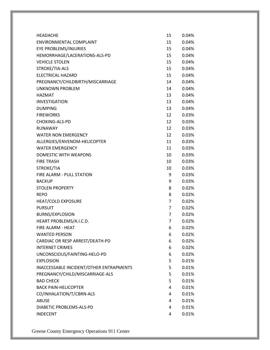| <b>HEADACHE</b>                         | 15              | 0.04% |
|-----------------------------------------|-----------------|-------|
| ENVIRONMENTAL COMPLAINT                 | 15              | 0.04% |
| EYE PROBLEMS/INJURIES                   | 15              | 0.04% |
| HEMORRHAGE/LACERATIONS-ALS-PD           | 15              | 0.04% |
| <b>VEHICLE STOLEN</b>                   | 15              | 0.04% |
| STROKE/TIA-ALS                          | 15              | 0.04% |
| <b>ELECTRICAL HAZARD</b>                | 15              | 0.04% |
| PREGNANCY/CHILDBIRTH/MISCARRIAGE        | 14              | 0.04% |
| <b>UNKNOWN PROBLEM</b>                  | 14              | 0.04% |
| <b>HAZMAT</b>                           | 13              | 0.04% |
| <b>INVESTIGATION</b>                    | 13              | 0.04% |
| <b>DUMPING</b>                          | 13              | 0.04% |
| <b>FIREWORKS</b>                        | 12 <sup>2</sup> | 0.03% |
| <b>CHOKING-ALS-PD</b>                   | 12 <sup>2</sup> | 0.03% |
| RUNAWAY                                 | 12 <sup>2</sup> | 0.03% |
| <b>WATER NON EMERGENCY</b>              | 12 <sup>2</sup> | 0.03% |
| ALLERGIES/ENVENOM-HELICOPTER            | 11              | 0.03% |
| <b>WATER EMERGENCY</b>                  | 11              | 0.03% |
| <b>DOMESTIC WITH WEAPONS</b>            | 10              | 0.03% |
| <b>FIRE TRASH</b>                       | 10              | 0.03% |
| STROKE/TIA                              | 10              | 0.03% |
| FIRE ALARM - PULL STATION               | 9               | 0.03% |
| <b>BACKUP</b>                           | 9               | 0.03% |
| <b>STOLEN PROPERTY</b>                  | 8               | 0.02% |
| <b>REPO</b>                             | 8               | 0.02% |
| <b>HEAT/COLD EXPOSURE</b>               | 7               | 0.02% |
| <b>PURSUIT</b>                          | $\overline{7}$  | 0.02% |
| <b>BURNS/EXPLOSION</b>                  | 7               | 0.02% |
| HEART PROBLEMS/A.I.C.D.                 | $\overline{7}$  | 0.02% |
| FIRE ALARM - HEAT                       | 6               | 0.02% |
| <b>WANTED PERSON</b>                    | 6               | 0.02% |
| CARDIAC OR RESP ARREST/DEATH-PD         | 6               | 0.02% |
| <b>INTERNET CRIMES</b>                  | 6               | 0.02% |
| UNCONSCIOUS/FAINTING-HELO-PD            | 6               | 0.02% |
| <b>EXPLOSION</b>                        | 5               | 0.01% |
| INACCESSABLE INCIDENT/OTHER ENTRAPMENTS | 5               | 0.01% |
| PREGNANCY/CHILD/MISCARRIAGE-ALS         | 5               | 0.01% |
| <b>BAD CHECK</b>                        | 5               | 0.01% |
| <b>BACK PAIN-HELICOPTER</b>             | 4               | 0.01% |
| CO/INHALATION/T/CBRN-ALS                | 4               | 0.01% |
| <b>ABUSE</b>                            | 4               | 0.01% |
| DIABETIC PROBLEMS-ALS-PD                | 4               | 0.01% |
| <b>INDECENT</b>                         | 4               | 0.01% |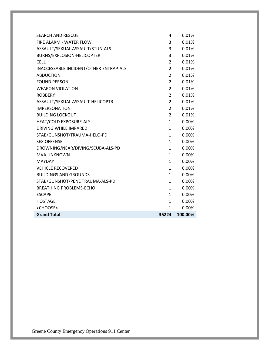| <b>SEARCH AND RESCUE</b><br><b>FIRE ALARM - WATER FLOW</b> | 4<br>3         | 0.01%<br>0.01% |
|------------------------------------------------------------|----------------|----------------|
| ASSAULT/SEXUAL ASSAULT/STUN-ALS                            | 3              | 0.01%          |
| BURNS/EXPLOSION-HELICOPTER                                 | 3              | 0.01%          |
| <b>CELL</b>                                                | $\overline{2}$ | 0.01%          |
| INACCESSABLE INCIDENT/OTHER ENTRAP-ALS                     | $\overline{2}$ | 0.01%          |
| <b>ABDUCTION</b>                                           | $\overline{2}$ | 0.01%          |
| <b>FOUND PERSON</b>                                        | $\overline{2}$ | 0.01%          |
| <b>WEAPON VIOLATION</b>                                    | $\overline{2}$ | 0.01%          |
| <b>ROBBERY</b>                                             | $\overline{2}$ | 0.01%          |
| ASSAULT/SEXUAL ASSAULT-HELICOPTR                           | $\overline{2}$ | 0.01%          |
| <b>IMPERSONATION</b>                                       | $\overline{2}$ | 0.01%          |
| <b>BUILDING LOCKOUT</b>                                    | $\overline{2}$ | 0.01%          |
| HEAT/COLD EXPOSURE-ALS                                     | $\mathbf{1}$   | 0.00%          |
| <b>DRIVING WHILE IMPARED</b>                               | $\mathbf{1}$   | 0.00%          |
|                                                            |                |                |
| STAB/GUNSHOT/TRAUMA-HELO-PD                                | $\mathbf{1}$   | 0.00%          |
| <b>SEX OFFENSE</b>                                         | $\mathbf{1}$   | 0.00%          |
| DROWNING/NEAR/DIVING/SCUBA-ALS-PD                          | $\mathbf{1}$   | 0.00%          |
| <b>MVA UNKNOWN</b>                                         | $\mathbf{1}$   | 0.00%          |
| <b>MAYDAY</b>                                              | $\mathbf{1}$   | 0.00%          |
| <b>VEHICLE RECOVERED</b>                                   | $\mathbf{1}$   | 0.00%          |
| <b>BUILDINGS AND GROUNDS</b>                               | $\mathbf{1}$   | 0.00%          |
| STAB/GUNSHOT/PENE TRAUMA-ALS-PD                            | $\mathbf{1}$   | 0.00%          |
| <b>BREATHING PROBLEMS-ECHO</b>                             | $\mathbf{1}$   | 0.00%          |
| <b>ESCAPE</b>                                              | $\mathbf{1}$   | 0.00%          |
| <b>HOSTAGE</b>                                             | $\mathbf{1}$   | 0.00%          |
| >CHOOSE<                                                   | $\mathbf{1}$   | 0.00%          |
| <b>Grand Total</b>                                         | 35224          | 100.00%        |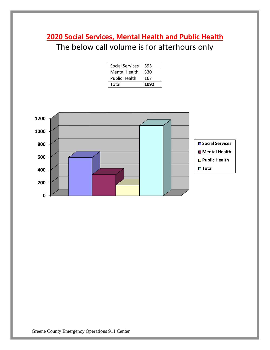# **2020 Social Services, Mental Health and Public Health** The below call volume is for afterhours only

| <b>Social Services</b> | 595  |
|------------------------|------|
| <b>Mental Health</b>   | 330  |
| <b>Public Health</b>   | 167  |
| Total                  | 1092 |

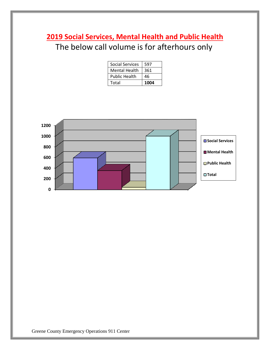# **2019 Social Services, Mental Health and Public Health** The below call volume is for afterhours only

| <b>Social Services</b> | 597  |
|------------------------|------|
| <b>Mental Health</b>   | 361  |
| <b>Public Health</b>   | 46   |
| Total                  | 1004 |

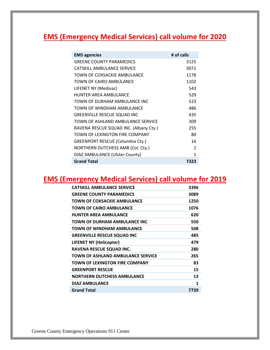## **EMS (Emergency Medical Services) call volume for 2020**

| <b>EMS agencies</b>                     | # of calls    |
|-----------------------------------------|---------------|
| <b>GREENE COUNTY PARAMEDICS</b>         | 3125          |
| CATSKILL AMBULANCE SERVICE              | 3071          |
| TOWN OF COXSACKIE AMBULANCE             | 1178          |
| TOWN OF CAIRO AMBULANCE                 | 1102          |
| LIFENET NY (Medivac)                    | 543           |
| <b>HUNTER AREA AMBULANCE</b>            | 529           |
| TOWN OF DURHAM AMBULANCE INC            | 523           |
| TOWN OF WINDHAM AMBULANCE               | 486           |
| <b>GREENVILLE RESCUE SQUAD INC</b>      | 435           |
| TOWN OF ASHLAND AMBULANCE SERVICE       | 309           |
| RAVENA RESCUE SQUAD INC. (Albany Cty.)  | 255           |
| TOWN OF LEXINGTON FIRE COMPANY          | 80            |
| <b>GREENPORT RESCUE (Columbia Cty.)</b> | 16            |
| NORTHERN DUTCHESS AMB (Col. Cty.)       | $\mathcal{P}$ |
| DIAZ AMBULANCE (Ulster County)          | 1             |
| <b>Grand Total</b>                      | 7323          |

### **EMS (Emergency Medical Services) call volume for 2019**

| <b>CATSKILL AMBULANCE SERVICE</b>  | 3396 |
|------------------------------------|------|
| <b>GREENE COUNTY PARAMEDICS</b>    | 3089 |
| TOWN OF COXSACKIE AMBULANCE        | 1250 |
| TOWN OF CAIRO AMBULANCE            | 1076 |
| <b>HUNTER AREA AMBULANCE</b>       | 620  |
| TOWN OF DURHAM AMBULANCE INC       | 550  |
| TOWN OF WINDHAM AMBULANCE          | 508  |
| <b>GREENVILLE RESCUE SQUAD INC</b> | 485  |
| <b>LIFENET NY (Helicopter)</b>     | 479  |
| RAVENA RESCUE SQUAD INC.           | 280  |
| TOWN OF ASHLAND AMBULANCE SERVICE  | 265  |
| TOWN OF LEXINGTON FIRE COMPANY     | 83   |
| <b>GREENPORT RESCUE</b>            | 15   |
| <b>NORTHERN DUTCHESS AMBULANCE</b> | 13   |
| <b>DIAZ AMBULANCE</b>              | 1    |
| <b>Grand Total</b>                 | 7739 |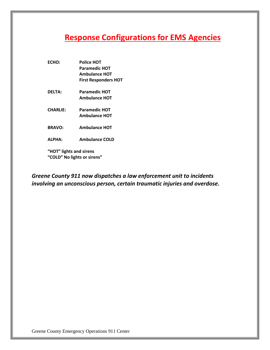## **Response Configurations for EMS Agencies**

- **ECHO: Police HOT Paramedic HOT Ambulance HOT First Responders HOT**
- **DELTA: Paramedic HOT Ambulance HOT**
- **CHARLIE: Paramedic HOT Ambulance HOT**
- **BRAVO: Ambulance HOT**
- **ALPHA: Ambulance COLD**

**"HOT" lights and sirens "COLD" No lights or sirens"**

*Greene County 911 now dispatches a law enforcement unit to incidents involving an unconscious person, certain traumatic injuries and overdose.*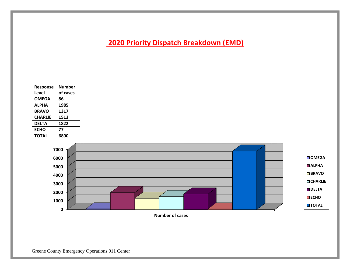**2020 Priority Dispatch Breakdown (EMD)**

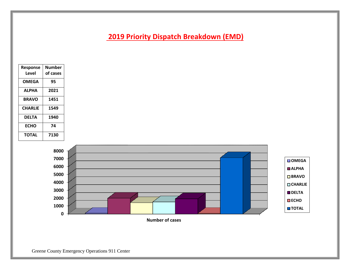### **2019 Priority Dispatch Breakdown (EMD)**

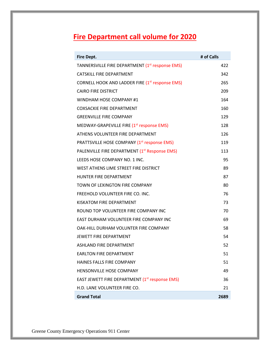# **Fire Department call volume for 2020**

| <b>Fire Dept.</b>                                           | # of Calls |
|-------------------------------------------------------------|------------|
| TANNERSVILLE FIRE DEPARTMENT (1 <sup>st</sup> response EMS) | 422        |
| <b>CATSKILL FIRE DEPARTMENT</b>                             | 342        |
| CORNELL HOOK AND LADDER FIRE (1 <sup>st</sup> response EMS) | 265        |
| <b>CAIRO FIRE DISTRICT</b>                                  | 209        |
| WINDHAM HOSE COMPANY #1                                     | 164        |
| <b>COXSACKIE FIRE DEPARTMENT</b>                            | 160        |
| <b>GREENVILLE FIRE COMPANY</b>                              | 129        |
| MEDWAY-GRAPEVILLE FIRE $(1st$ response EMS)                 | 128        |
| ATHENS VOLUNTEER FIRE DEPARTMENT                            | 126        |
| PRATTSVILLE HOSE COMPANY (1st response EMS)                 | 119        |
| PALENVILLE FIRE DEPARTMENT (1 <sup>st</sup> Response EMS)   | 113        |
| LEEDS HOSE COMPANY NO. 1 INC.                               | 95         |
| WEST ATHENS LIME STREET FIRE DISTRICT                       | 89         |
| HUNTER FIRE DEPARTMENT                                      | 87         |
| TOWN OF LEXINGTON FIRE COMPANY                              | 80         |
| FREEHOLD VOLUNTEER FIRE CO. INC.                            | 76         |
| KISKATOM FIRE DEPARTMENT                                    | 73         |
| ROUND TOP VOLUNTEER FIRE COMPANY INC                        | 70         |
| EAST DURHAM VOLUNTEER FIRE COMPANY INC                      | 69         |
| OAK-HILL DURHAM VOLUNTER FIRE COMPANY                       | 58         |
| <b>JEWETT FIRE DEPARTMENT</b>                               | 54         |
| <b>ASHLAND FIRE DEPARTMENT</b>                              | 52         |
| <b>EARLTON FIRE DEPARTMENT</b>                              | 51         |
| HAINES FALLS FIRE COMPANY                                   | 51         |
| HENSONVILLE HOSE COMPANY                                    | 49         |
| EAST JEWETT FIRE DEPARTMENT (1 <sup>st</sup> response EMS)  | 36         |
| H.D. LANE VOLUNTEER FIRE CO.                                | 21         |
| <b>Grand Total</b>                                          | 2689       |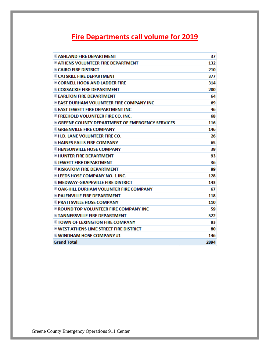# **Fire Departments call volume for 2019**

| <b>E ASHLAND FIRE DEPARTMENT</b>                        | 37   |
|---------------------------------------------------------|------|
| <b>E ATHENS VOLUNTEER FIRE DEPARTMENT</b>               | 132  |
| <b>E CAIRO FIRE DISTRICT</b>                            | 210  |
| <b>E CATSKILL FIRE DEPARTMENT</b>                       | 377  |
| <b>E CORNELL HOOK AND LADDER FIRE</b>                   | 314  |
| <b>E COXSACKIE FIRE DEPARTMENT</b>                      | 200  |
| <b>E EARLTON FIRE DEPARTMENT</b>                        | 64   |
| <b>E EAST DURHAM VOLUNTEER FIRE COMPANY INC</b>         | 69   |
| <b>E FAST JEWETT FIRE DEPARTMENT INC</b>                | 46   |
| <b>E FREEHOLD VOLUNTEER FIRE CO. INC.</b>               | 68   |
| <b>E GREENE COUNTY DEPARTMENT OF EMERGENCY SERVICES</b> | 116  |
| <b>E GREENVILLE FIRE COMPANY</b>                        | 146  |
| <b>EH.D. LANE VOLUNTEER FIRE CO.</b>                    | 26   |
| <b>EHAINES FALLS FIRE COMPANY</b>                       | 65   |
| <b>EHENSONVILLE HOSE COMPANY</b>                        | 39   |
| <b>EHUNTER FIRE DEPARTMENT</b>                          | 93   |
| <b>ELIEWETT FIRE DEPARTMENT</b>                         | 36   |
| <b>E KISKATOM FIRE DEPARTMENT</b>                       | 89   |
| ⊞ LEEDS HOSE COMPANY NO. 1 INC.                         | 128  |
| <b>E MEDWAY-GRAPEVILLE FIRE DISTRICT</b>                | 143  |
| <b>E OAK-HILL DURHAM VOLUNTER FIRE COMPANY</b>          | 67   |
| <b>E PALENVILLE FIRE DEPARTMENT</b>                     | 118  |
| ⊞ PRATTSVILLE HOSE COMPANY                              | 110  |
| <b>E ROUND TOP VOLUNTEER FIRE COMPANY INC</b>           | 59   |
| <b>EITANNERSVILLE FIRE DEPARTMENT</b>                   | 522  |
| ⊞ TOWN OF LEXINGTON FIRE COMPANY                        | 83   |
| <b>E WEST ATHENS LIME STREET FIRE DISTRICT</b>          | 80   |
| <b>E WINDHAM HOSE COMPANY #1</b>                        | 146  |
| <b>Grand Total</b>                                      | 2894 |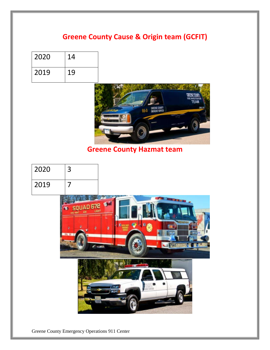### **Greene County Cause & Origin team (GCFIT)**

| 2020 | 14 |
|------|----|
| 2019 | 19 |



### **Greene County Hazmat team**



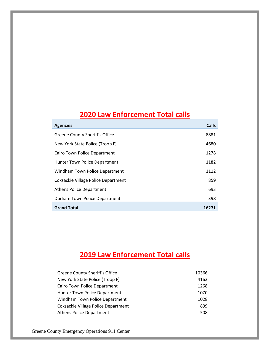## **2020 Law Enforcement Total calls**

| <b>Agencies</b>                     | Calls |
|-------------------------------------|-------|
| Greene County Sheriff's Office      | 8881  |
| New York State Police (Troop F)     | 4680  |
| Cairo Town Police Department        | 1278  |
| Hunter Town Police Department       | 1182  |
| Windham Town Police Department      | 1112  |
| Coxsackie Village Police Department | 859   |
| <b>Athens Police Department</b>     | 693   |
| Durham Town Police Department       | 398   |
| <b>Grand Total</b>                  | 16271 |

# **2019 Law Enforcement Total calls**

| Greene County Sheriff's Office      | 10366 |
|-------------------------------------|-------|
| New York State Police (Troop F)     | 4162  |
| Cairo Town Police Department        | 1268  |
| Hunter Town Police Department       | 1070  |
| Windham Town Police Department      | 1028  |
| Coxsackie Village Police Department | 899   |
| <b>Athens Police Department</b>     | 508   |
|                                     |       |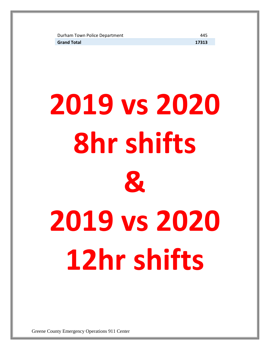Durham Town Police Department 445 **Grand Total 17313**

**2019 vs 2020 8hr shifts & 2019 vs 2020 12hr shifts**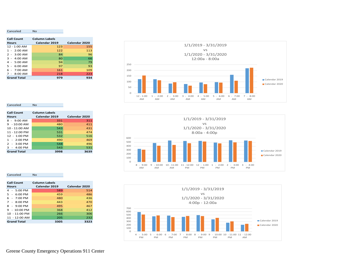| <b>Call Count</b>  | <b>Column Labels</b> |               |
|--------------------|----------------------|---------------|
| <b>Hours</b>       | Calendar 2019        | Calendar 2020 |
| $12 - 1:00$ AM     | 123                  | 155           |
| $1 - 2:00$ AM      | 122                  | 113           |
| $2 - 3:00$ AM      | 84                   | 96            |
| $3 - 4:00$ AM      | 80                   | 66            |
| $4 - 5:00$ AM      | 94                   | 79            |
| $5 - 6:00$ AM      | 97                   | 93            |
| $6 - 7:00$ AM      | 161                  | 109           |
| $7 - 8:00$ AM      | 218                  | 223           |
| <b>Grand Total</b> | 979                  | 934           |



#### 0 100 200 300 400 500 600 8 - 9:00 9 - 10:00 10 - 11:00 11 - 12:00 12 - 1:00 1 - 2:00 2 - 3:00 3 - 4:00 AM AM AM PM PM PM PM PM 1/1/2019 - 3/31/2019 vs 1/1/2020 - 3/31/2020 8:00a - 4:00p Calendar 2019 Calendar 2020



#### Canceled No

Canceled No

| <b>Call Count</b>       | <b>Column Labels</b> |               |
|-------------------------|----------------------|---------------|
| <b>Hours</b>            | Calendar 2019        | Calendar 2020 |
| $8 - 9:00$ AM           | 331                  | 311           |
| $9 - 10:00$ AM          | 480                  | 411           |
| $10 - 11:00$ AM         | 543                  | 431           |
| $11 - 12:00 \text{ PM}$ | 531                  | 474           |
| $12 - 1:00 \text{ PM}$  | 532                  | 516           |
| $1 - 2:00$ PM           | 490                  | 469           |
| $2 - 3:00$ PM           | 548                  | 496           |
| $3 - 4:00$ PM           | 543                  | 531           |
| <b>Grand Total</b>      | 3998                 | 3639          |

#### Canceled No

| <b>Call Count</b>      | <b>Column Labels</b> |               |
|------------------------|----------------------|---------------|
| <b>Hours</b>           | Calendar 2019        | Calendar 2020 |
| 4 - 5:00 PM            | 589                  | 514           |
| $5 - 6:00 \text{ PM}$  | 459                  | 486           |
| $6 - 7:00$ PM          | 480                  | 436           |
| $7 - 8:00$ PM          | 443                  | 470           |
| $8 - 9:00$ PM          | 495                  | 467           |
| $9 - 10:00 \text{ PM}$ | 368                  | 412           |
| 10 - 11:00 PM          | 266                  | 306           |
| 11 - 12:00 AM          | 205                  | 232           |
| <b>Grand Total</b>     | 3305                 | 3323          |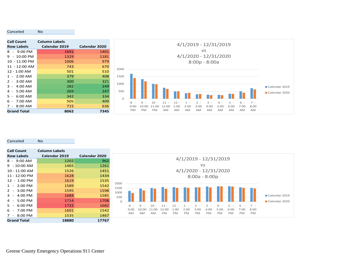| <b>Call Count</b>      | <b>Column Labels</b> |               |
|------------------------|----------------------|---------------|
| <b>Row Labels</b>      | Calendar 2019        | Calendar 2020 |
| 8 - 9:00 PM            | 1691                 | 1401          |
| $9 - 10:00 \text{ PM}$ | 1329                 | 1181          |
| 10 - 11:00 PM          | 1006                 | 979           |
| 11 - 12:00 AM          | 743                  | 670           |
| $12 - 1:00$ AM         | 501                  | 510           |
| $1 - 2:00$ AM          | 379                  | 408           |
| $2 - 3:00$ AM          | 300                  | 321           |
| $3 - 4:00$ AM          | 282                  | 249           |
| $4 - 5:00$ AM          | 269                  | 247           |
| $5 - 6:00$ AM          | 342                  | 334           |
| $6 - 7:00$ AM          | 505                  | 409           |
| $7 - 8:00$ AM          | 715                  | 636           |
| <b>Grand Total</b>     | 8062                 | 7345          |



Canceled No

Canceled No

| <b>Call Count</b>                        | <b>Column Labels</b> |               |
|------------------------------------------|----------------------|---------------|
| <b>Row Labels</b>                        | Calendar 2019        | Calendar 2020 |
| 8 - 9:00 AM                              | 1202                 | 962           |
| - 10:00 AM<br>9                          | 1465                 | 1261          |
| 10 - 11:00 AM                            | 1526                 | 1451          |
| 11 - 12:00 PM                            | 1628                 | 1434          |
| 12 - 1:00 PM                             | 1619                 | 1535          |
| $-2:00$ PM<br>1                          | 1589                 | 1542          |
| 2<br>$-3:00$ PM                          | 1595                 | 1598          |
| 3<br>4:00 PM                             | 1684                 | 1585          |
| 5:00 PM<br>4<br>$\blacksquare$           | 1714                 | 1708          |
| $6:00$ PM<br>5                           | 1722                 | 1682          |
| 6<br>$7:00$ PM                           | 1601                 | 1542          |
| 8:00 PM<br>7<br>$\overline{\phantom{a}}$ | 1535                 | 1467          |
| <b>Grand Total</b>                       | 18880                | 17767         |